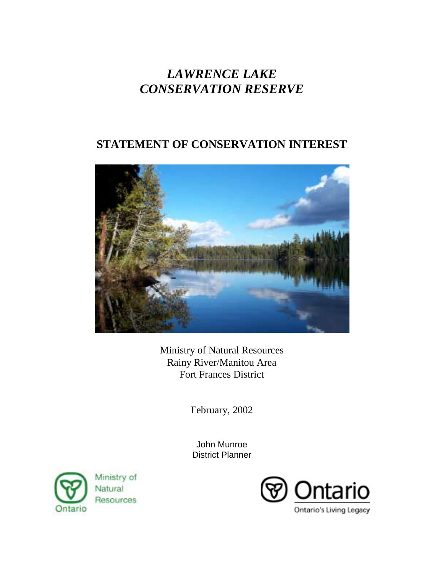# *LAWRENCE LAKE CONSERVATION RESERVE*

# **STATEMENT OF CONSERVATION INTEREST**



Ministry of Natural Resources Rainy River/Manitou Area Fort Frances District

February, 2002

John Munroe District Planner



Ministry of Natural Resources

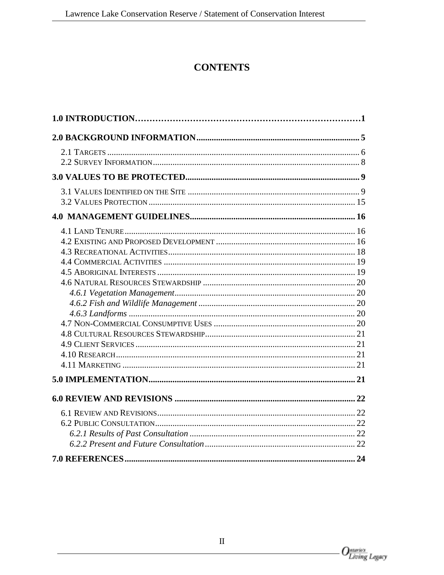# **CONTENTS**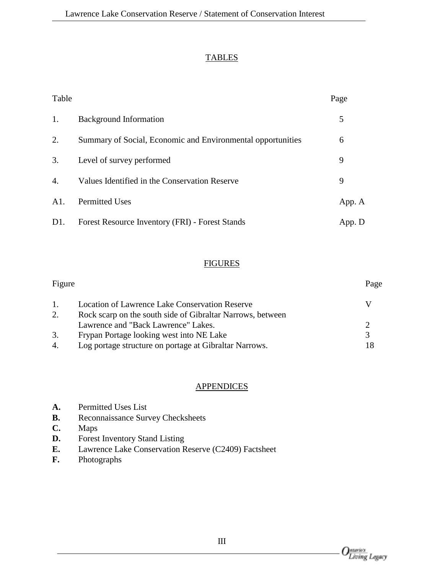#### **TABLES**

| Table            |                                                             | Page   |
|------------------|-------------------------------------------------------------|--------|
| 1.               | <b>Background Information</b>                               | 5      |
| 2.               | Summary of Social, Economic and Environmental opportunities | 6      |
| 3.               | Level of survey performed                                   | 9      |
| $\mathbf{4}$ .   | Values Identified in the Conservation Reserve               | 9      |
| A1.              | <b>Permitted Uses</b>                                       | App. A |
| D <sub>1</sub> . | Forest Resource Inventory (FRI) - Forest Stands             | App. D |

#### **FIGURES**

| Figure |                                                            | Page |
|--------|------------------------------------------------------------|------|
| 1.     | <b>Location of Lawrence Lake Conservation Reserve</b>      |      |
| 2.     | Rock scarp on the south side of Gibraltar Narrows, between |      |
|        | Lawrence and "Back Lawrence" Lakes.                        |      |
| 3.     | Frypan Portage looking west into NE Lake                   |      |
| 4.     | Log portage structure on portage at Gibraltar Narrows.     |      |

#### **APPENDICES**

| <b>Permitted Uses List</b><br>A. |  |
|----------------------------------|--|
|----------------------------------|--|

- **B.** Reconnaissance Survey Checksheets
- **C.** Maps
- **D.** Forest Inventory Stand Listing
- **E.** Lawrence Lake Conservation Reserve (C2409) Factsheet
- **F.** Photographs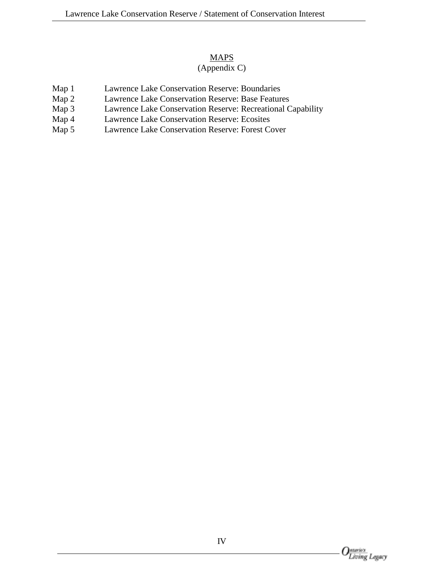#### **MAPS**

# (Appendix C)

- Map 1 Lawrence Lake Conservation Reserve: Boundaries
- Map 2 Lawrence Lake Conservation Reserve: Base Features<br>Map 3 Lawrence Lake Conservation Reserve: Recreational C
- Map 3 Lawrence Lake Conservation Reserve: Recreational Capability<br>Map 4 Lawrence Lake Conservation Reserve: Ecosites
- Lawrence Lake Conservation Reserve: Ecosites
- Map 5 Lawrence Lake Conservation Reserve: Forest Cover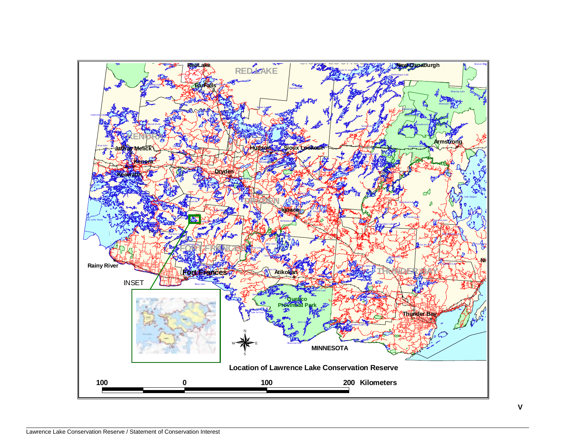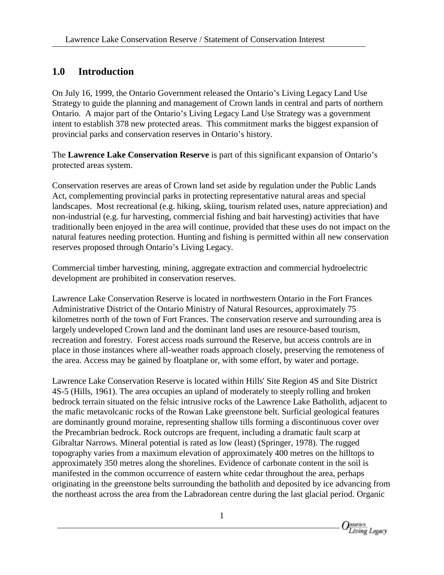# **1.0 Introduction**

On July 16, 1999, the Ontario Government released the Ontario's Living Legacy Land Use Strategy to guide the planning and management of Crown lands in central and parts of northern Ontario. A major part of the Ontario's Living Legacy Land Use Strategy was a government intent to establish 378 new protected areas. This commitment marks the biggest expansion of provincial parks and conservation reserves in Ontario's history.

The **Lawrence Lake Conservation Reserve** is part of this significant expansion of Ontario's protected areas system.

Conservation reserves are areas of Crown land set aside by regulation under the Public Lands Act, complementing provincial parks in protecting representative natural areas and special landscapes. Most recreational (e.g. hiking, skiing, tourism related uses, nature appreciation) and non-industrial (e.g. fur harvesting, commercial fishing and bait harvesting) activities that have traditionally been enjoyed in the area will continue, provided that these uses do not impact on the natural features needing protection. Hunting and fishing is permitted within all new conservation reserves proposed through Ontario's Living Legacy.

Commercial timber harvesting, mining, aggregate extraction and commercial hydroelectric development are prohibited in conservation reserves.

Lawrence Lake Conservation Reserve is located in northwestern Ontario in the Fort Frances Administrative District of the Ontario Ministry of Natural Resources, approximately 75 kilometres north of the town of Fort Frances. The conservation reserve and surrounding area is largely undeveloped Crown land and the dominant land uses are resource-based tourism, recreation and forestry. Forest access roads surround the Reserve, but access controls are in place in those instances where all-weather roads approach closely, preserving the remoteness of the area. Access may be gained by floatplane or, with some effort, by water and portage.

Lawrence Lake Conservation Reserve is located within Hills' Site Region 4S and Site District 4S-5 (Hills, 1961). The area occupies an upland of moderately to steeply rolling and broken bedrock terrain situated on the felsic intrusive rocks of the Lawrence Lake Batholith, adjacent to the mafic metavolcanic rocks of the Rowan Lake greenstone belt. Surficial geological features are dominantly ground moraine, representing shallow tills forming a discontinuous cover over the Precambrian bedrock. Rock outcrops are frequent, including a dramatic fault scarp at Gibraltar Narrows. Mineral potential is rated as low (least) (Springer, 1978). The rugged topography varies from a maximum elevation of approximately 400 metres on the hilltops to approximately 350 metres along the shorelines. Evidence of carbonate content in the soil is manifested in the common occurrence of eastern white cedar throughout the area, perhaps originating in the greenstone belts surrounding the batholith and deposited by ice advancing from the northeast across the area from the Labradorean centre during the last glacial period. Organic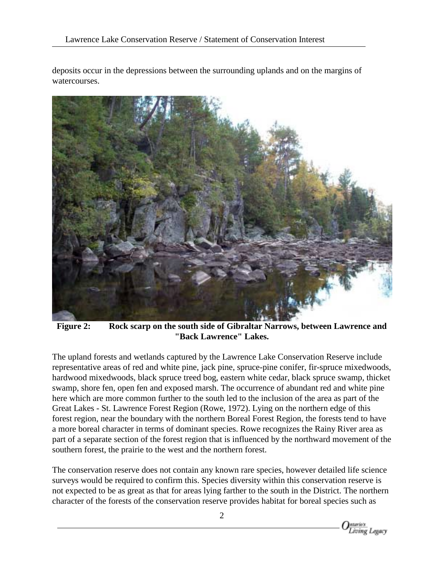deposits occur in the depressions between the surrounding uplands and on the margins of watercourses.



**Figure 2: Rock scarp on the south side of Gibraltar Narrows, between Lawrence and "Back Lawrence" Lakes.**

The upland forests and wetlands captured by the Lawrence Lake Conservation Reserve include representative areas of red and white pine, jack pine, spruce-pine conifer, fir-spruce mixedwoods, hardwood mixedwoods, black spruce treed bog, eastern white cedar, black spruce swamp, thicket swamp, shore fen, open fen and exposed marsh. The occurrence of abundant red and white pine here which are more common further to the south led to the inclusion of the area as part of the Great Lakes - St. Lawrence Forest Region (Rowe, 1972). Lying on the northern edge of this forest region, near the boundary with the northern Boreal Forest Region, the forests tend to have a more boreal character in terms of dominant species. Rowe recognizes the Rainy River area as part of a separate section of the forest region that is influenced by the northward movement of the southern forest, the prairie to the west and the northern forest.

The conservation reserve does not contain any known rare species, however detailed life science surveys would be required to confirm this. Species diversity within this conservation reserve is not expected to be as great as that for areas lying farther to the south in the District. The northern character of the forests of the conservation reserve provides habitat for boreal species such as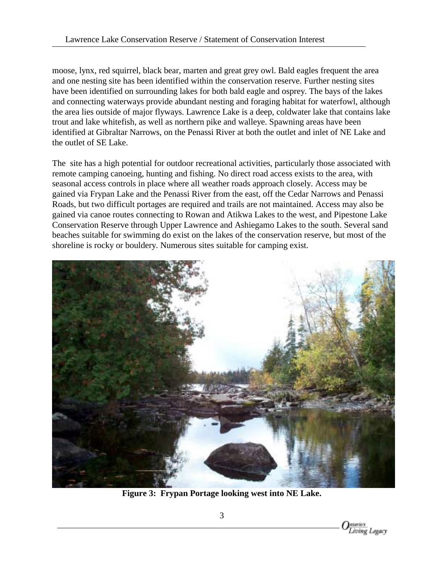moose, lynx, red squirrel, black bear, marten and great grey owl. Bald eagles frequent the area and one nesting site has been identified within the conservation reserve. Further nesting sites have been identified on surrounding lakes for both bald eagle and osprey. The bays of the lakes and connecting waterways provide abundant nesting and foraging habitat for waterfowl, although the area lies outside of major flyways. Lawrence Lake is a deep, coldwater lake that contains lake trout and lake whitefish, as well as northern pike and walleye. Spawning areas have been identified at Gibraltar Narrows, on the Penassi River at both the outlet and inlet of NE Lake and the outlet of SE Lake.

The site has a high potential for outdoor recreational activities, particularly those associated with remote camping canoeing, hunting and fishing. No direct road access exists to the area, with seasonal access controls in place where all weather roads approach closely. Access may be gained via Frypan Lake and the Penassi River from the east, off the Cedar Narrows and Penassi Roads, but two difficult portages are required and trails are not maintained. Access may also be gained via canoe routes connecting to Rowan and Atikwa Lakes to the west, and Pipestone Lake Conservation Reserve through Upper Lawrence and Ashiegamo Lakes to the south. Several sand beaches suitable for swimming do exist on the lakes of the conservation reserve, but most of the shoreline is rocky or bouldery. Numerous sites suitable for camping exist.



**Figure 3: Frypan Portage looking west into NE Lake.**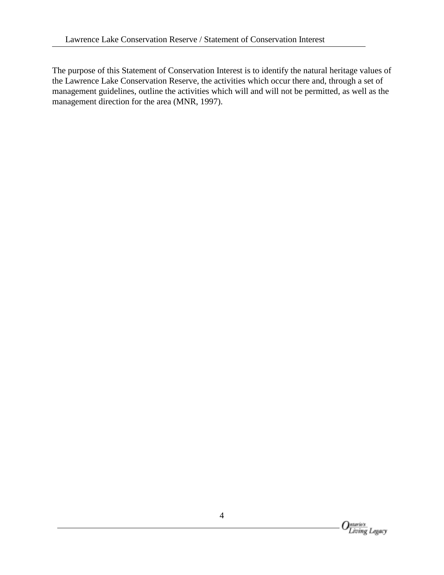The purpose of this Statement of Conservation Interest is to identify the natural heritage values of the Lawrence Lake Conservation Reserve, the activities which occur there and, through a set of management guidelines, outline the activities which will and will not be permitted, as well as the management direction for the area (MNR, 1997).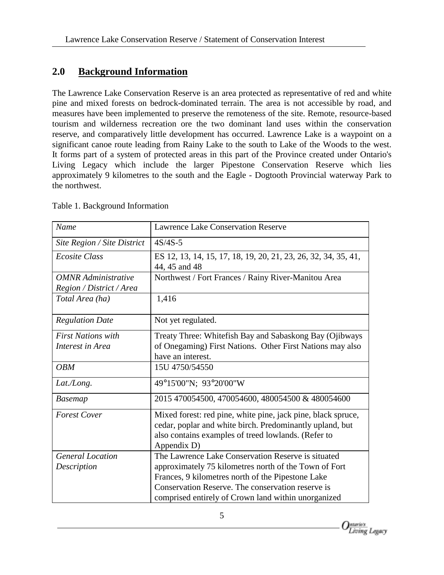# **2.0 Background Information**

The Lawrence Lake Conservation Reserve is an area protected as representative of red and white pine and mixed forests on bedrock-dominated terrain. The area is not accessible by road, and measures have been implemented to preserve the remoteness of the site. Remote, resource-based tourism and wilderness recreation ore the two dominant land uses within the conservation reserve, and comparatively little development has occurred. Lawrence Lake is a waypoint on a significant canoe route leading from Rainy Lake to the south to Lake of the Woods to the west. It forms part of a system of protected areas in this part of the Province created under Ontario's Living Legacy which include the larger Pipestone Conservation Reserve which lies approximately 9 kilometres to the south and the Eagle - Dogtooth Provincial waterway Park to the northwest.

| Name                        | <b>Lawrence Lake Conservation Reserve</b>                                                                                                                                                      |  |
|-----------------------------|------------------------------------------------------------------------------------------------------------------------------------------------------------------------------------------------|--|
| Site Region / Site District | $4S/4S-5$                                                                                                                                                                                      |  |
| <b>Ecosite Class</b>        | ES 12, 13, 14, 15, 17, 18, 19, 20, 21, 23, 26, 32, 34, 35, 41,<br>44, 45 and 48                                                                                                                |  |
| <b>OMNR</b> Administrative  | Northwest / Fort Frances / Rainy River-Manitou Area                                                                                                                                            |  |
| Region / District / Area    |                                                                                                                                                                                                |  |
| Total Area (ha)             | 1,416                                                                                                                                                                                          |  |
| <b>Regulation Date</b>      | Not yet regulated.                                                                                                                                                                             |  |
| <b>First Nations with</b>   | Treaty Three: Whitefish Bay and Sabaskong Bay (Ojibways                                                                                                                                        |  |
| Interest in Area            | of Onegaming) First Nations. Other First Nations may also                                                                                                                                      |  |
|                             | have an interest.                                                                                                                                                                              |  |
| <b>OBM</b>                  | 15U 4750/54550                                                                                                                                                                                 |  |
| Lat./Long.                  | 49°15'00"N; 93°20'00"W                                                                                                                                                                         |  |
| <b>Basemap</b>              | 2015 470054500, 470054600, 480054500 & 480054600                                                                                                                                               |  |
| <b>Forest Cover</b>         | Mixed forest: red pine, white pine, jack pine, black spruce,<br>cedar, poplar and white birch. Predominantly upland, but<br>also contains examples of treed lowlands. (Refer to<br>Appendix D) |  |
| <b>General Location</b>     | The Lawrence Lake Conservation Reserve is situated                                                                                                                                             |  |
| Description                 | approximately 75 kilometres north of the Town of Fort                                                                                                                                          |  |
|                             | Frances, 9 kilometres north of the Pipestone Lake                                                                                                                                              |  |
|                             | Conservation Reserve. The conservation reserve is                                                                                                                                              |  |
|                             | comprised entirely of Crown land within unorganized                                                                                                                                            |  |

Table 1. Background Information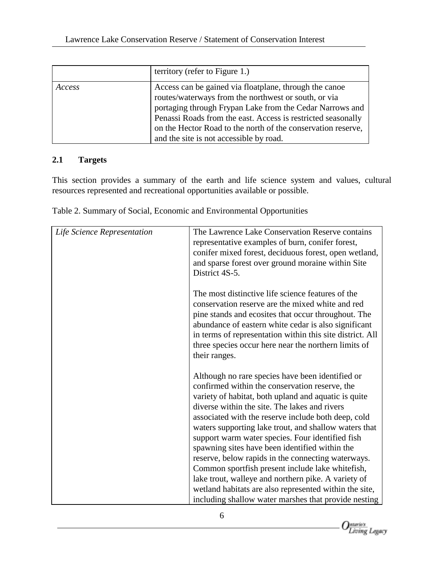|        | territory (refer to Figure 1.)                                                                                                                                                                                                                                                                                                                        |
|--------|-------------------------------------------------------------------------------------------------------------------------------------------------------------------------------------------------------------------------------------------------------------------------------------------------------------------------------------------------------|
| Access | Access can be gained via floatplane, through the canoe<br>routes/waterways from the northwest or south, or via<br>portaging through Frypan Lake from the Cedar Narrows and<br>Penassi Roads from the east. Access is restricted seasonally<br>on the Hector Road to the north of the conservation reserve,<br>and the site is not accessible by road. |

### **2.1 Targets**

This section provides a summary of the earth and life science system and values, cultural resources represented and recreational opportunities available or possible.

| Life Science Representation | The Lawrence Lake Conservation Reserve contains<br>representative examples of burn, conifer forest,<br>conifer mixed forest, deciduous forest, open wetland,<br>and sparse forest over ground moraine within Site<br>District 4S-5.                                                                                                                                                                                                                                                                                                                                                                                                                                                                                   |
|-----------------------------|-----------------------------------------------------------------------------------------------------------------------------------------------------------------------------------------------------------------------------------------------------------------------------------------------------------------------------------------------------------------------------------------------------------------------------------------------------------------------------------------------------------------------------------------------------------------------------------------------------------------------------------------------------------------------------------------------------------------------|
|                             | The most distinctive life science features of the<br>conservation reserve are the mixed white and red<br>pine stands and ecosites that occur throughout. The<br>abundance of eastern white cedar is also significant<br>in terms of representation within this site district. All<br>three species occur here near the northern limits of<br>their ranges.                                                                                                                                                                                                                                                                                                                                                            |
|                             | Although no rare species have been identified or<br>confirmed within the conservation reserve, the<br>variety of habitat, both upland and aquatic is quite<br>diverse within the site. The lakes and rivers<br>associated with the reserve include both deep, cold<br>waters supporting lake trout, and shallow waters that<br>support warm water species. Four identified fish<br>spawning sites have been identified within the<br>reserve, below rapids in the connecting waterways.<br>Common sportfish present include lake white fish,<br>lake trout, walleye and northern pike. A variety of<br>wetland habitats are also represented within the site,<br>including shallow water marshes that provide nesting |

Table 2. Summary of Social, Economic and Environmental Opportunities

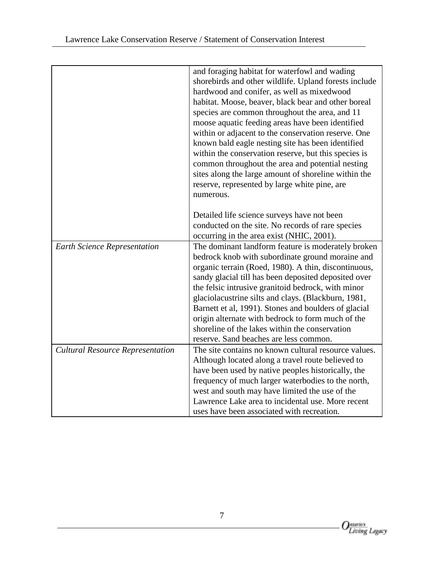|                                         | and foraging habitat for waterfowl and wading                                                       |
|-----------------------------------------|-----------------------------------------------------------------------------------------------------|
|                                         | shorebirds and other wildlife. Upland forests include                                               |
|                                         | hardwood and conifer, as well as mixedwood                                                          |
|                                         | habitat. Moose, beaver, black bear and other boreal                                                 |
|                                         | species are common throughout the area, and 11                                                      |
|                                         | moose aquatic feeding areas have been identified                                                    |
|                                         | within or adjacent to the conservation reserve. One                                                 |
|                                         | known bald eagle nesting site has been identified                                                   |
|                                         | within the conservation reserve, but this species is                                                |
|                                         | common throughout the area and potential nesting                                                    |
|                                         | sites along the large amount of shoreline within the                                                |
|                                         | reserve, represented by large white pine, are                                                       |
|                                         | numerous.                                                                                           |
|                                         |                                                                                                     |
|                                         | Detailed life science surveys have not been                                                         |
|                                         | conducted on the site. No records of rare species                                                   |
|                                         | occurring in the area exist (NHIC, 2001).                                                           |
| <b>Earth Science Representation</b>     | The dominant landform feature is moderately broken                                                  |
|                                         | bedrock knob with subordinate ground moraine and                                                    |
|                                         | organic terrain (Roed, 1980). A thin, discontinuous,                                                |
|                                         | sandy glacial till has been deposited deposited over                                                |
|                                         | the felsic intrusive granitoid bedrock, with minor                                                  |
|                                         | glaciolacustrine silts and clays. (Blackburn, 1981,                                                 |
|                                         | Barnett et al, 1991). Stones and boulders of glacial                                                |
|                                         | origin alternate with bedrock to form much of the                                                   |
|                                         | shoreline of the lakes within the conservation                                                      |
|                                         | reserve. Sand beaches are less common.                                                              |
| <b>Cultural Resource Representation</b> | The site contains no known cultural resource values.                                                |
|                                         | Although located along a travel route believed to                                                   |
|                                         | have been used by native peoples historically, the                                                  |
|                                         | frequency of much larger waterbodies to the north,                                                  |
|                                         | west and south may have limited the use of the<br>Lawrence Lake area to incidental use. More recent |
|                                         | uses have been associated with recreation.                                                          |
|                                         |                                                                                                     |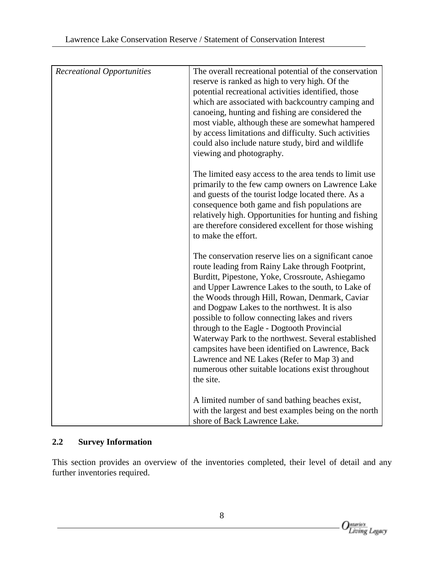| <b>Recreational Opportunities</b> | The overall recreational potential of the conservation |
|-----------------------------------|--------------------------------------------------------|
|                                   | reserve is ranked as high to very high. Of the         |
|                                   | potential recreational activities identified, those    |
|                                   | which are associated with backcountry camping and      |
|                                   | canoeing, hunting and fishing are considered the       |
|                                   | most viable, although these are somewhat hampered      |
|                                   | by access limitations and difficulty. Such activities  |
|                                   | could also include nature study, bird and wildlife     |
|                                   | viewing and photography.                               |
|                                   | The limited easy access to the area tends to limit use |
|                                   | primarily to the few camp owners on Lawrence Lake      |
|                                   | and guests of the tourist lodge located there. As a    |
|                                   | consequence both game and fish populations are         |
|                                   | relatively high. Opportunities for hunting and fishing |
|                                   | are therefore considered excellent for those wishing   |
|                                   | to make the effort.                                    |
|                                   |                                                        |
|                                   | The conservation reserve lies on a significant canoe   |
|                                   | route leading from Rainy Lake through Footprint,       |
|                                   | Burditt, Pipestone, Yoke, Crossroute, Ashiegamo        |
|                                   | and Upper Lawrence Lakes to the south, to Lake of      |
|                                   | the Woods through Hill, Rowan, Denmark, Caviar         |
|                                   | and Dogpaw Lakes to the northwest. It is also          |
|                                   | possible to follow connecting lakes and rivers         |
|                                   | through to the Eagle - Dogtooth Provincial             |
|                                   | Waterway Park to the northwest. Several established    |
|                                   | campsites have been identified on Lawrence, Back       |
|                                   | Lawrence and NE Lakes (Refer to Map 3) and             |
|                                   | numerous other suitable locations exist throughout     |
|                                   | the site.                                              |
|                                   | A limited number of sand bathing beaches exist,        |
|                                   | with the largest and best examples being on the north  |
|                                   | shore of Back Lawrence Lake.                           |

### **2.2 Survey Information**

This section provides an overview of the inventories completed, their level of detail and any further inventories required.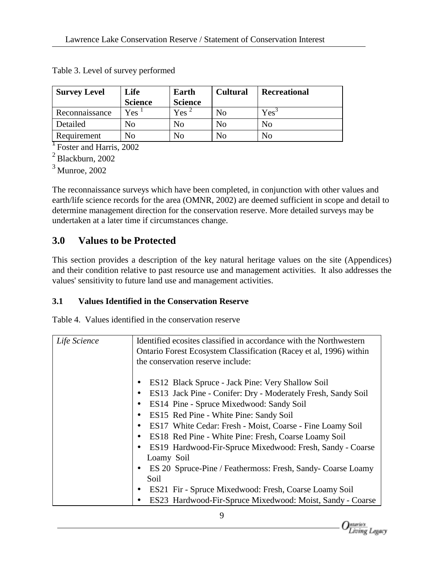| <b>Survey Level</b> | Life           | Earth          | <b>Cultural</b> | <b>Recreational</b> |
|---------------------|----------------|----------------|-----------------|---------------------|
|                     | <b>Science</b> | <b>Science</b> |                 |                     |
| Reconnaissance      | Yes-           | $Yes^2$        | No              | $Yes^3$             |
| Detailed            | No             | No             | No              | No                  |
| Requirement         | No             | N <sub>o</sub> | No              | No                  |

Table 3. Level of survey performed

<sup>1</sup>Foster and Harris, 2002

2 Blackburn, 2002

3 Munroe, 2002

The reconnaissance surveys which have been completed, in conjunction with other values and earth/life science records for the area (OMNR, 2002) are deemed sufficient in scope and detail to determine management direction for the conservation reserve. More detailed surveys may be undertaken at a later time if circumstances change.

# **3.0 Values to be Protected**

This section provides a description of the key natural heritage values on the site (Appendices) and their condition relative to past resource use and management activities. It also addresses the values' sensitivity to future land use and management activities.

# **3.1 Values Identified in the Conservation Reserve**

Table 4. Values identified in the conservation reserve

| Life Science | Identified ecosites classified in accordance with the Northwestern<br>Ontario Forest Ecosystem Classification (Racey et al, 1996) within<br>the conservation reserve include:                                                                                                                                                                                                                                                                                                                                                                                                                                |  |  |
|--------------|--------------------------------------------------------------------------------------------------------------------------------------------------------------------------------------------------------------------------------------------------------------------------------------------------------------------------------------------------------------------------------------------------------------------------------------------------------------------------------------------------------------------------------------------------------------------------------------------------------------|--|--|
|              | ES12 Black Spruce - Jack Pine: Very Shallow Soil<br>ES13 Jack Pine - Conifer: Dry - Moderately Fresh, Sandy Soil<br>$\bullet$<br>ES14 Pine - Spruce Mixedwood: Sandy Soil<br>ES15 Red Pine - White Pine: Sandy Soil<br>٠<br>ES17 White Cedar: Fresh - Moist, Coarse - Fine Loamy Soil<br>$\bullet$<br>ES18 Red Pine - White Pine: Fresh, Coarse Loamy Soil<br>$\bullet$<br>ES19 Hardwood-Fir-Spruce Mixedwood: Fresh, Sandy - Coarse<br>Loamy Soil<br>ES 20 Spruce-Pine / Feathermoss: Fresh, Sandy- Coarse Loamy<br>$\bullet$<br>Soil<br>ES21 Fir - Spruce Mixedwood: Fresh, Coarse Loamy Soil<br>$\bullet$ |  |  |
|              | ES23 Hardwood-Fir-Spruce Mixedwood: Moist, Sandy - Coarse                                                                                                                                                                                                                                                                                                                                                                                                                                                                                                                                                    |  |  |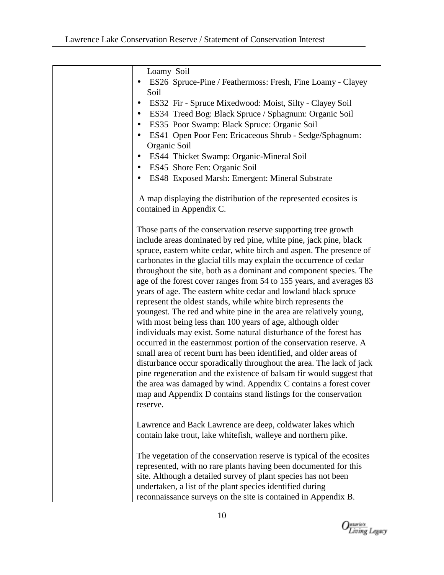| Loamy Soil<br>ES26 Spruce-Pine / Feathermoss: Fresh, Fine Loamy - Clayey<br>Soil<br>ES32 Fir - Spruce Mixedwood: Moist, Silty - Clayey Soil<br>$\bullet$<br>ES34 Treed Bog: Black Spruce / Sphagnum: Organic Soil<br>ES35 Poor Swamp: Black Spruce: Organic Soil<br>ES41 Open Poor Fen: Ericaceous Shrub - Sedge/Sphagnum:<br>Organic Soil<br>ES44 Thicket Swamp: Organic-Mineral Soil<br>$\bullet$<br>ES45 Shore Fen: Organic Soil<br>ES48 Exposed Marsh: Emergent: Mineral Substrate                                                                                                                                                                                                                                                                                                                                                                                                                                                                                                                                                                                                                                                                                                                                    |
|---------------------------------------------------------------------------------------------------------------------------------------------------------------------------------------------------------------------------------------------------------------------------------------------------------------------------------------------------------------------------------------------------------------------------------------------------------------------------------------------------------------------------------------------------------------------------------------------------------------------------------------------------------------------------------------------------------------------------------------------------------------------------------------------------------------------------------------------------------------------------------------------------------------------------------------------------------------------------------------------------------------------------------------------------------------------------------------------------------------------------------------------------------------------------------------------------------------------------|
| A map displaying the distribution of the represented ecosites is<br>contained in Appendix C.                                                                                                                                                                                                                                                                                                                                                                                                                                                                                                                                                                                                                                                                                                                                                                                                                                                                                                                                                                                                                                                                                                                              |
| Those parts of the conservation reserve supporting tree growth<br>include areas dominated by red pine, white pine, jack pine, black<br>spruce, eastern white cedar, white birch and aspen. The presence of<br>carbonates in the glacial tills may explain the occurrence of cedar<br>throughout the site, both as a dominant and component species. The<br>age of the forest cover ranges from 54 to 155 years, and averages 83<br>years of age. The eastern white cedar and lowland black spruce<br>represent the oldest stands, while white birch represents the<br>youngest. The red and white pine in the area are relatively young,<br>with most being less than 100 years of age, although older<br>individuals may exist. Some natural disturbance of the forest has<br>occurred in the easternmost portion of the conservation reserve. A<br>small area of recent burn has been identified, and older areas of<br>disturbance occur sporadically throughout the area. The lack of jack<br>pine regeneration and the existence of balsam fir would suggest that<br>the area was damaged by wind. Appendix C contains a forest cover<br>map and Appendix D contains stand listings for the conservation<br>reserve. |
| Lawrence and Back Lawrence are deep, coldwater lakes which<br>contain lake trout, lake whitefish, walleye and northern pike.                                                                                                                                                                                                                                                                                                                                                                                                                                                                                                                                                                                                                                                                                                                                                                                                                                                                                                                                                                                                                                                                                              |
| The vegetation of the conservation reserve is typical of the ecosites<br>represented, with no rare plants having been documented for this<br>site. Although a detailed survey of plant species has not been<br>undertaken, a list of the plant species identified during<br>reconnaissance surveys on the site is contained in Appendix B.                                                                                                                                                                                                                                                                                                                                                                                                                                                                                                                                                                                                                                                                                                                                                                                                                                                                                |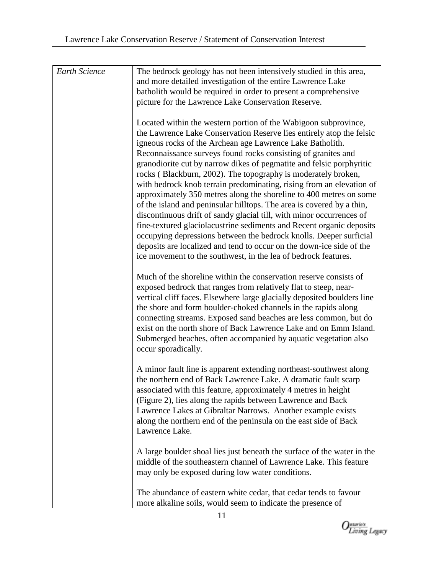| <b>Earth Science</b> | The bedrock geology has not been intensively studied in this area,      |
|----------------------|-------------------------------------------------------------------------|
|                      | and more detailed investigation of the entire Lawrence Lake             |
|                      | batholith would be required in order to present a comprehensive         |
|                      | picture for the Lawrence Lake Conservation Reserve.                     |
|                      |                                                                         |
|                      | Located within the western portion of the Wabigoon subprovince,         |
|                      | the Lawrence Lake Conservation Reserve lies entirely atop the felsic    |
|                      | igneous rocks of the Archean age Lawrence Lake Batholith.               |
|                      | Reconnaissance surveys found rocks consisting of granites and           |
|                      | granodiorite cut by narrow dikes of pegmatite and felsic porphyritic    |
|                      | rocks (Blackburn, 2002). The topography is moderately broken,           |
|                      |                                                                         |
|                      | with bedrock knob terrain predominating, rising from an elevation of    |
|                      | approximately 350 metres along the shoreline to 400 metres on some      |
|                      | of the island and peninsular hilltops. The area is covered by a thin,   |
|                      | discontinuous drift of sandy glacial till, with minor occurrences of    |
|                      | fine-textured glaciolacustrine sediments and Recent organic deposits    |
|                      | occupying depressions between the bedrock knolls. Deeper surficial      |
|                      | deposits are localized and tend to occur on the down-ice side of the    |
|                      | ice movement to the southwest, in the lea of bedrock features.          |
|                      |                                                                         |
|                      | Much of the shoreline within the conservation reserve consists of       |
|                      | exposed bedrock that ranges from relatively flat to steep, near-        |
|                      | vertical cliff faces. Elsewhere large glacially deposited boulders line |
|                      | the shore and form boulder-choked channels in the rapids along          |
|                      | connecting streams. Exposed sand beaches are less common, but do        |
|                      | exist on the north shore of Back Lawrence Lake and on Emm Island.       |
|                      | Submerged beaches, often accompanied by aquatic vegetation also         |
|                      | occur sporadically.                                                     |
|                      |                                                                         |
|                      | A minor fault line is apparent extending northeast-southwest along      |
|                      | the northern end of Back Lawrence Lake. A dramatic fault scarp          |
|                      | associated with this feature, approximately 4 metres in height          |
|                      | (Figure 2), lies along the rapids between Lawrence and Back             |
|                      | Lawrence Lakes at Gibraltar Narrows. Another example exists             |
|                      | along the northern end of the peninsula on the east side of Back        |
|                      | Lawrence Lake.                                                          |
|                      |                                                                         |
|                      | A large boulder shoal lies just beneath the surface of the water in the |
|                      | middle of the southeastern channel of Lawrence Lake. This feature       |
|                      | may only be exposed during low water conditions.                        |
|                      |                                                                         |
|                      | The abundance of eastern white cedar, that cedar tends to favour        |
|                      | more alkaline soils, would seem to indicate the presence of             |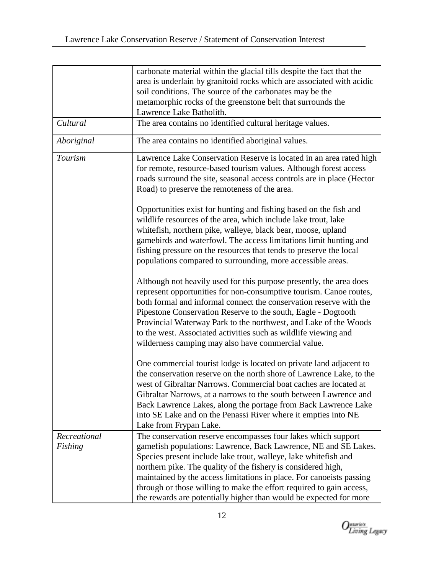|                         | carbonate material within the glacial tills despite the fact that the<br>area is underlain by granitoid rocks which are associated with acidic<br>soil conditions. The source of the carbonates may be the                                                                                                                                                                                                                                                                                 |
|-------------------------|--------------------------------------------------------------------------------------------------------------------------------------------------------------------------------------------------------------------------------------------------------------------------------------------------------------------------------------------------------------------------------------------------------------------------------------------------------------------------------------------|
|                         | metamorphic rocks of the greenstone belt that surrounds the<br>Lawrence Lake Batholith.                                                                                                                                                                                                                                                                                                                                                                                                    |
| Cultural                | The area contains no identified cultural heritage values.                                                                                                                                                                                                                                                                                                                                                                                                                                  |
| Aboriginal              | The area contains no identified aboriginal values.                                                                                                                                                                                                                                                                                                                                                                                                                                         |
| Tourism                 | Lawrence Lake Conservation Reserve is located in an area rated high<br>for remote, resource-based tourism values. Although forest access<br>roads surround the site, seasonal access controls are in place (Hector<br>Road) to preserve the remoteness of the area.                                                                                                                                                                                                                        |
|                         | Opportunities exist for hunting and fishing based on the fish and<br>wildlife resources of the area, which include lake trout, lake<br>whitefish, northern pike, walleye, black bear, moose, upland<br>gamebirds and waterfowl. The access limitations limit hunting and<br>fishing pressure on the resources that tends to preserve the local<br>populations compared to surrounding, more accessible areas.                                                                              |
|                         | Although not heavily used for this purpose presently, the area does<br>represent opportunities for non-consumptive tourism. Canoe routes,<br>both formal and informal connect the conservation reserve with the<br>Pipestone Conservation Reserve to the south, Eagle - Dogtooth<br>Provincial Waterway Park to the northwest, and Lake of the Woods<br>to the west. Associated activities such as wildlife viewing and<br>wilderness camping may also have commercial value.              |
|                         | One commercial tourist lodge is located on private land adjacent to<br>the conservation reserve on the north shore of Lawrence Lake, to the<br>west of Gibraltar Narrows. Commercial boat caches are located at<br>Gibraltar Narrows, at a narrows to the south between Lawrence and<br>Back Lawrence Lakes, along the portage from Back Lawrence Lake<br>into SE Lake and on the Penassi River where it empties into NE<br>Lake from Frypan Lake.                                         |
| Recreational<br>Fishing | The conservation reserve encompasses four lakes which support<br>gamefish populations: Lawrence, Back Lawrence, NE and SE Lakes.<br>Species present include lake trout, walleye, lake whitefish and<br>northern pike. The quality of the fishery is considered high,<br>maintained by the access limitations in place. For canoeists passing<br>through or those willing to make the effort required to gain access,<br>the rewards are potentially higher than would be expected for more |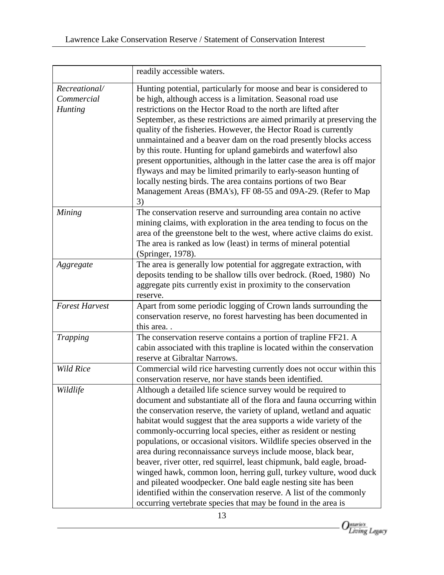|                                               | readily accessible waters.                                                                                                                                                                                                                                                                                                                                                                                                                                                                                                                                                                                                                                                                                                                                                                                                                             |
|-----------------------------------------------|--------------------------------------------------------------------------------------------------------------------------------------------------------------------------------------------------------------------------------------------------------------------------------------------------------------------------------------------------------------------------------------------------------------------------------------------------------------------------------------------------------------------------------------------------------------------------------------------------------------------------------------------------------------------------------------------------------------------------------------------------------------------------------------------------------------------------------------------------------|
| Recreational/<br>Commercial<br><b>Hunting</b> | Hunting potential, particularly for moose and bear is considered to<br>be high, although access is a limitation. Seasonal road use<br>restrictions on the Hector Road to the north are lifted after<br>September, as these restrictions are aimed primarily at preserving the<br>quality of the fisheries. However, the Hector Road is currently<br>unmaintained and a beaver dam on the road presently blocks access<br>by this route. Hunting for upland gamebirds and waterfowl also<br>present opportunities, although in the latter case the area is off major<br>flyways and may be limited primarily to early-season hunting of<br>locally nesting birds. The area contains portions of two Bear<br>Management Areas (BMA's), FF 08-55 and 09A-29. (Refer to Map<br>3)                                                                          |
| Mining                                        | The conservation reserve and surrounding area contain no active<br>mining claims, with exploration in the area tending to focus on the<br>area of the greenstone belt to the west, where active claims do exist.<br>The area is ranked as low (least) in terms of mineral potential<br>(Springer, 1978).                                                                                                                                                                                                                                                                                                                                                                                                                                                                                                                                               |
| Aggregate                                     | The area is generally low potential for aggregate extraction, with<br>deposits tending to be shallow tills over bedrock. (Roed, 1980) No<br>aggregate pits currently exist in proximity to the conservation<br>reserve.                                                                                                                                                                                                                                                                                                                                                                                                                                                                                                                                                                                                                                |
| <b>Forest Harvest</b>                         | Apart from some periodic logging of Crown lands surrounding the<br>conservation reserve, no forest harvesting has been documented in<br>this area                                                                                                                                                                                                                                                                                                                                                                                                                                                                                                                                                                                                                                                                                                      |
| <b>Trapping</b>                               | The conservation reserve contains a portion of trapline FF21. A<br>cabin associated with this trapline is located within the conservation<br>reserve at Gibraltar Narrows.                                                                                                                                                                                                                                                                                                                                                                                                                                                                                                                                                                                                                                                                             |
| <b>Wild Rice</b>                              | Commercial wild rice harvesting currently does not occur within this<br>conservation reserve, nor have stands been identified.                                                                                                                                                                                                                                                                                                                                                                                                                                                                                                                                                                                                                                                                                                                         |
| Wildlife                                      | Although a detailed life science survey would be required to<br>document and substantiate all of the flora and fauna occurring within<br>the conservation reserve, the variety of upland, wetland and aquatic<br>habitat would suggest that the area supports a wide variety of the<br>commonly-occurring local species, either as resident or nesting<br>populations, or occasional visitors. Wildlife species observed in the<br>area during reconnaissance surveys include moose, black bear,<br>beaver, river otter, red squirrel, least chipmunk, bald eagle, broad-<br>winged hawk, common loon, herring gull, turkey vulture, wood duck<br>and pileated woodpecker. One bald eagle nesting site has been<br>identified within the conservation reserve. A list of the commonly<br>occurring vertebrate species that may be found in the area is |

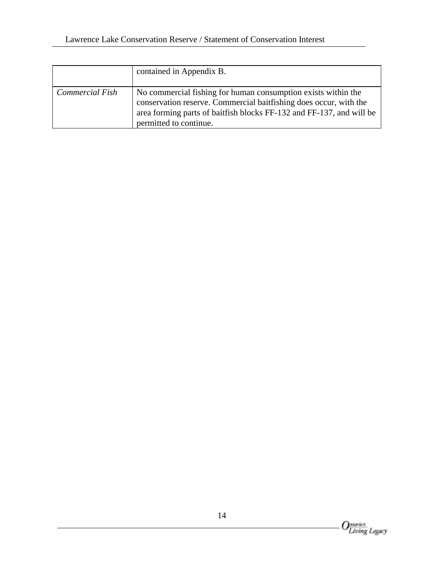|                 | contained in Appendix B.                                                                                                                                                                                                             |
|-----------------|--------------------------------------------------------------------------------------------------------------------------------------------------------------------------------------------------------------------------------------|
| Commercial Fish | No commercial fishing for human consumption exists within the<br>conservation reserve. Commercial baitfishing does occur, with the<br>area forming parts of baitfish blocks FF-132 and FF-137, and will be<br>permitted to continue. |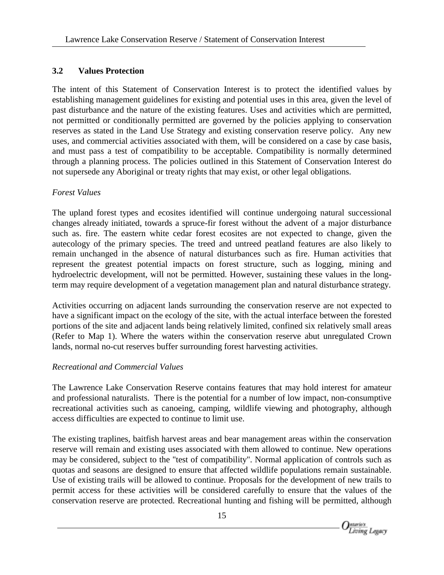#### **3.2 Values Protection**

The intent of this Statement of Conservation Interest is to protect the identified values by establishing management guidelines for existing and potential uses in this area, given the level of past disturbance and the nature of the existing features. Uses and activities which are permitted, not permitted or conditionally permitted are governed by the policies applying to conservation reserves as stated in the Land Use Strategy and existing conservation reserve policy. Any new uses, and commercial activities associated with them, will be considered on a case by case basis, and must pass a test of compatibility to be acceptable. Compatibility is normally determined through a planning process. The policies outlined in this Statement of Conservation Interest do not supersede any Aboriginal or treaty rights that may exist, or other legal obligations.

#### *Forest Values*

The upland forest types and ecosites identified will continue undergoing natural successional changes already initiated, towards a spruce-fir forest without the advent of a major disturbance such as. fire. The eastern white cedar forest ecosites are not expected to change, given the autecology of the primary species. The treed and untreed peatland features are also likely to remain unchanged in the absence of natural disturbances such as fire. Human activities that represent the greatest potential impacts on forest structure, such as logging, mining and hydroelectric development, will not be permitted. However, sustaining these values in the longterm may require development of a vegetation management plan and natural disturbance strategy.

Activities occurring on adjacent lands surrounding the conservation reserve are not expected to have a significant impact on the ecology of the site, with the actual interface between the forested portions of the site and adjacent lands being relatively limited, confined six relatively small areas (Refer to Map 1). Where the waters within the conservation reserve abut unregulated Crown lands, normal no-cut reserves buffer surrounding forest harvesting activities.

#### *Recreational and Commercial Values*

The Lawrence Lake Conservation Reserve contains features that may hold interest for amateur and professional naturalists. There is the potential for a number of low impact, non-consumptive recreational activities such as canoeing, camping, wildlife viewing and photography, although access difficulties are expected to continue to limit use.

The existing traplines, baitfish harvest areas and bear management areas within the conservation reserve will remain and existing uses associated with them allowed to continue. New operations may be considered, subject to the "test of compatibility". Normal application of controls such as quotas and seasons are designed to ensure that affected wildlife populations remain sustainable. Use of existing trails will be allowed to continue. Proposals for the development of new trails to permit access for these activities will be considered carefully to ensure that the values of the conservation reserve are protected. Recreational hunting and fishing will be permitted, although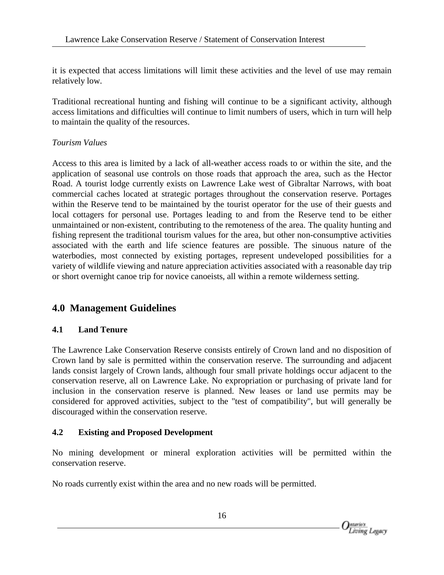it is expected that access limitations will limit these activities and the level of use may remain relatively low.

Traditional recreational hunting and fishing will continue to be a significant activity, although access limitations and difficulties will continue to limit numbers of users, which in turn will help to maintain the quality of the resources.

### *Tourism Values*

Access to this area is limited by a lack of all-weather access roads to or within the site, and the application of seasonal use controls on those roads that approach the area, such as the Hector Road. A tourist lodge currently exists on Lawrence Lake west of Gibraltar Narrows, with boat commercial caches located at strategic portages throughout the conservation reserve. Portages within the Reserve tend to be maintained by the tourist operator for the use of their guests and local cottagers for personal use. Portages leading to and from the Reserve tend to be either unmaintained or non-existent, contributing to the remoteness of the area. The quality hunting and fishing represent the traditional tourism values for the area, but other non-consumptive activities associated with the earth and life science features are possible. The sinuous nature of the waterbodies, most connected by existing portages, represent undeveloped possibilities for a variety of wildlife viewing and nature appreciation activities associated with a reasonable day trip or short overnight canoe trip for novice canoeists, all within a remote wilderness setting.

# **4.0 Management Guidelines**

# **4.1 Land Tenure**

The Lawrence Lake Conservation Reserve consists entirely of Crown land and no disposition of Crown land by sale is permitted within the conservation reserve. The surrounding and adjacent lands consist largely of Crown lands, although four small private holdings occur adjacent to the conservation reserve, all on Lawrence Lake. No expropriation or purchasing of private land for inclusion in the conservation reserve is planned. New leases or land use permits may be considered for approved activities, subject to the "test of compatibility", but will generally be discouraged within the conservation reserve.

#### **4.2 Existing and Proposed Development**

No mining development or mineral exploration activities will be permitted within the conservation reserve.

No roads currently exist within the area and no new roads will be permitted.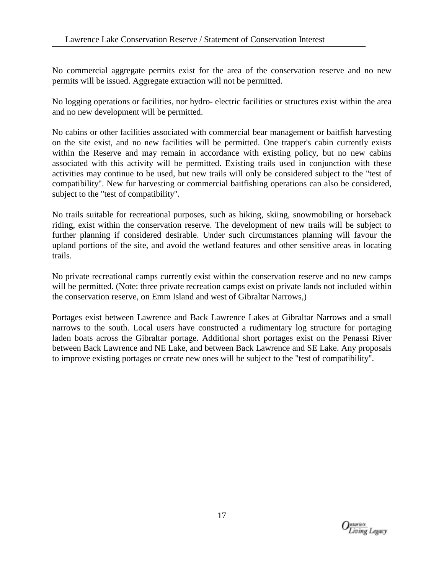No commercial aggregate permits exist for the area of the conservation reserve and no new permits will be issued. Aggregate extraction will not be permitted.

No logging operations or facilities, nor hydro- electric facilities or structures exist within the area and no new development will be permitted.

No cabins or other facilities associated with commercial bear management or baitfish harvesting on the site exist, and no new facilities will be permitted. One trapper's cabin currently exists within the Reserve and may remain in accordance with existing policy, but no new cabins associated with this activity will be permitted. Existing trails used in conjunction with these activities may continue to be used, but new trails will only be considered subject to the "test of compatibility". New fur harvesting or commercial baitfishing operations can also be considered, subject to the "test of compatibility".

No trails suitable for recreational purposes, such as hiking, skiing, snowmobiling or horseback riding, exist within the conservation reserve. The development of new trails will be subject to further planning if considered desirable. Under such circumstances planning will favour the upland portions of the site, and avoid the wetland features and other sensitive areas in locating trails.

No private recreational camps currently exist within the conservation reserve and no new camps will be permitted. (Note: three private recreation camps exist on private lands not included within the conservation reserve, on Emm Island and west of Gibraltar Narrows,)

Portages exist between Lawrence and Back Lawrence Lakes at Gibraltar Narrows and a small narrows to the south. Local users have constructed a rudimentary log structure for portaging laden boats across the Gibraltar portage. Additional short portages exist on the Penassi River between Back Lawrence and NE Lake, and between Back Lawrence and SE Lake. Any proposals to improve existing portages or create new ones will be subject to the "test of compatibility".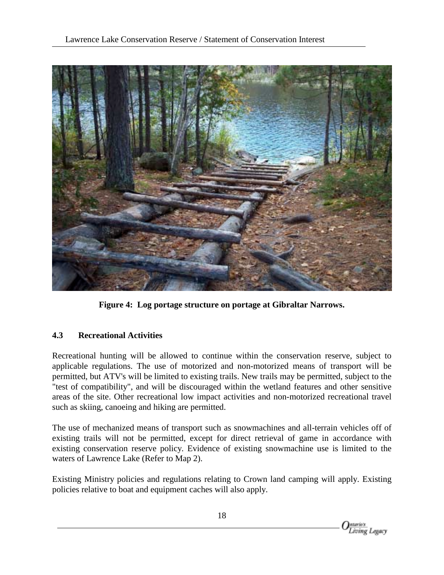

**Figure 4: Log portage structure on portage at Gibraltar Narrows.**

#### **4.3 Recreational Activities**

Recreational hunting will be allowed to continue within the conservation reserve, subject to applicable regulations. The use of motorized and non-motorized means of transport will be permitted, but ATV's will be limited to existing trails. New trails may be permitted, subject to the "test of compatibility", and will be discouraged within the wetland features and other sensitive areas of the site. Other recreational low impact activities and non-motorized recreational travel such as skiing, canoeing and hiking are permitted.

The use of mechanized means of transport such as snowmachines and all-terrain vehicles off of existing trails will not be permitted, except for direct retrieval of game in accordance with existing conservation reserve policy. Evidence of existing snowmachine use is limited to the waters of Lawrence Lake (Refer to Map 2).

Existing Ministry policies and regulations relating to Crown land camping will apply. Existing policies relative to boat and equipment caches will also apply.

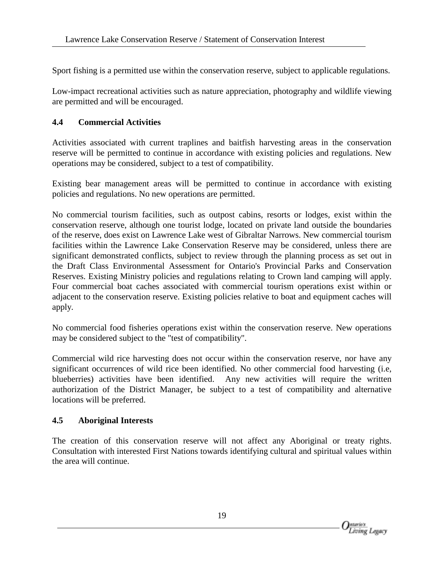Sport fishing is a permitted use within the conservation reserve, subject to applicable regulations.

Low-impact recreational activities such as nature appreciation, photography and wildlife viewing are permitted and will be encouraged.

#### **4.4 Commercial Activities**

Activities associated with current traplines and baitfish harvesting areas in the conservation reserve will be permitted to continue in accordance with existing policies and regulations. New operations may be considered, subject to a test of compatibility.

Existing bear management areas will be permitted to continue in accordance with existing policies and regulations. No new operations are permitted.

No commercial tourism facilities, such as outpost cabins, resorts or lodges, exist within the conservation reserve, although one tourist lodge, located on private land outside the boundaries of the reserve, does exist on Lawrence Lake west of Gibraltar Narrows. New commercial tourism facilities within the Lawrence Lake Conservation Reserve may be considered, unless there are significant demonstrated conflicts, subject to review through the planning process as set out in the Draft Class Environmental Assessment for Ontario's Provincial Parks and Conservation Reserves. Existing Ministry policies and regulations relating to Crown land camping will apply. Four commercial boat caches associated with commercial tourism operations exist within or adjacent to the conservation reserve. Existing policies relative to boat and equipment caches will apply.

No commercial food fisheries operations exist within the conservation reserve. New operations may be considered subject to the "test of compatibility".

Commercial wild rice harvesting does not occur within the conservation reserve, nor have any significant occurrences of wild rice been identified. No other commercial food harvesting (i.e, blueberries) activities have been identified. Any new activities will require the written authorization of the District Manager, be subject to a test of compatibility and alternative locations will be preferred.

#### **4.5 Aboriginal Interests**

The creation of this conservation reserve will not affect any Aboriginal or treaty rights. Consultation with interested First Nations towards identifying cultural and spiritual values within the area will continue.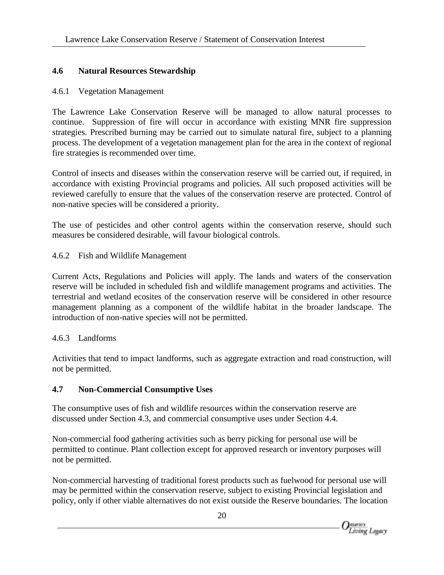# **4.6 Natural Resources Stewardship**

#### 4.6.1 Vegetation Management

The Lawrence Lake Conservation Reserve will be managed to allow natural processes to continue. Suppression of fire will occur in accordance with existing MNR fire suppression strategies. Prescribed burning may be carried out to simulate natural fire, subject to a planning process. The development of a vegetation management plan for the area in the context of regional fire strategies is recommended over time.

Control of insects and diseases within the conservation reserve will be carried out, if required, in accordance with existing Provincial programs and policies. All such proposed activities will be reviewed carefully to ensure that the values of the conservation reserve are protected. Control of non-native species will be considered a priority.

The use of pesticides and other control agents within the conservation reserve, should such measures be considered desirable, will favour biological controls.

#### 4.6.2 Fish and Wildlife Management

Current Acts, Regulations and Policies will apply. The lands and waters of the conservation reserve will be included in scheduled fish and wildlife management programs and activities. The terrestrial and wetland ecosites of the conservation reserve will be considered in other resource management planning as a component of the wildlife habitat in the broader landscape. The introduction of non-native species will not be permitted.

#### 4.6.3 Landforms

Activities that tend to impact landforms, such as aggregate extraction and road construction, will not be permitted.

#### **4.7 Non-Commercial Consumptive Uses**

The consumptive uses of fish and wildlife resources within the conservation reserve are discussed under Section 4.3, and commercial consumptive uses under Section 4.4.

Non-commercial food gathering activities such as berry picking for personal use will be permitted to continue. Plant collection except for approved research or inventory purposes will not be permitted.

Non-commercial harvesting of traditional forest products such as fuelwood for personal use will may be permitted within the conservation reserve, subject to existing Provincial legislation and policy, only if other viable alternatives do not exist outside the Reserve boundaries. The location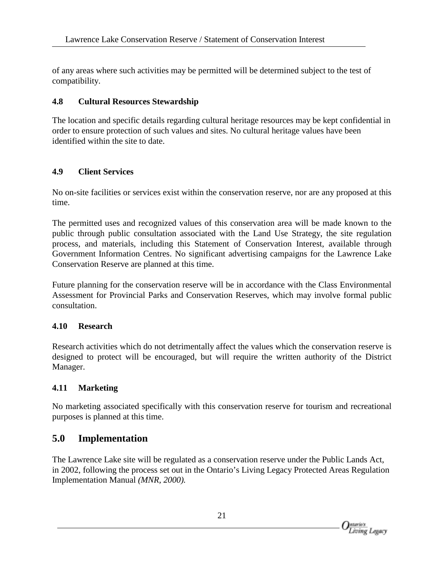of any areas where such activities may be permitted will be determined subject to the test of compatibility.

#### **4.8 Cultural Resources Stewardship**

The location and specific details regarding cultural heritage resources may be kept confidential in order to ensure protection of such values and sites. No cultural heritage values have been identified within the site to date.

### **4.9 Client Services**

No on-site facilities or services exist within the conservation reserve, nor are any proposed at this time.

The permitted uses and recognized values of this conservation area will be made known to the public through public consultation associated with the Land Use Strategy, the site regulation process, and materials, including this Statement of Conservation Interest, available through Government Information Centres. No significant advertising campaigns for the Lawrence Lake Conservation Reserve are planned at this time.

Future planning for the conservation reserve will be in accordance with the Class Environmental Assessment for Provincial Parks and Conservation Reserves, which may involve formal public consultation.

#### **4.10 Research**

Research activities which do not detrimentally affect the values which the conservation reserve is designed to protect will be encouraged, but will require the written authority of the District Manager.

# **4.11 Marketing**

No marketing associated specifically with this conservation reserve for tourism and recreational purposes is planned at this time.

# **5.0 Implementation**

The Lawrence Lake site will be regulated as a conservation reserve under the Public Lands Act, in 2002, following the process set out in the Ontario's Living Legacy Protected Areas Regulation Implementation Manual *(MNR, 2000).*

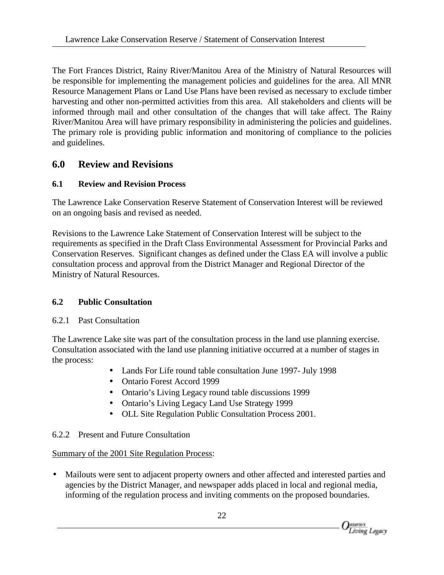The Fort Frances District, Rainy River/Manitou Area of the Ministry of Natural Resources will be responsible for implementing the management policies and guidelines for the area. All MNR Resource Management Plans or Land Use Plans have been revised as necessary to exclude timber harvesting and other non-permitted activities from this area. All stakeholders and clients will be informed through mail and other consultation of the changes that will take affect. The Rainy River/Manitou Area will have primary responsibility in administering the policies and guidelines. The primary role is providing public information and monitoring of compliance to the policies and guidelines.

# **6.0 Review and Revisions**

# **6.1 Review and Revision Process**

The Lawrence Lake Conservation Reserve Statement of Conservation Interest will be reviewed on an ongoing basis and revised as needed.

Revisions to the Lawrence Lake Statement of Conservation Interest will be subject to the requirements as specified in the Draft Class Environmental Assessment for Provincial Parks and Conservation Reserves. Significant changes as defined under the Class EA will involve a public consultation process and approval from the District Manager and Regional Director of the Ministry of Natural Resources.

# **6.2 Public Consultation**

#### 6.2.1 Past Consultation

The Lawrence Lake site was part of the consultation process in the land use planning exercise. Consultation associated with the land use planning initiative occurred at a number of stages in the process:

- Lands For Life round table consultation June 1997- July 1998
- Ontario Forest Accord 1999
- Ontario's Living Legacy round table discussions 1999
- Ontario's Living Legacy Land Use Strategy 1999
- OLL Site Regulation Public Consultation Process 2001.

# 6.2.2 Present and Future Consultation

# Summary of the 2001 Site Regulation Process:

• Mailouts were sent to adjacent property owners and other affected and interested parties and agencies by the District Manager, and newspaper adds placed in local and regional media, informing of the regulation process and inviting comments on the proposed boundaries.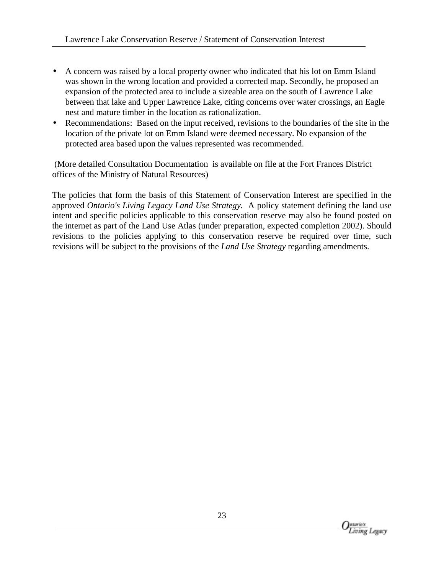- A concern was raised by a local property owner who indicated that his lot on Emm Island was shown in the wrong location and provided a corrected map. Secondly, he proposed an expansion of the protected area to include a sizeable area on the south of Lawrence Lake between that lake and Upper Lawrence Lake, citing concerns over water crossings, an Eagle nest and mature timber in the location as rationalization.
- Recommendations: Based on the input received, revisions to the boundaries of the site in the location of the private lot on Emm Island were deemed necessary. No expansion of the protected area based upon the values represented was recommended.

 (More detailed Consultation Documentation is available on file at the Fort Frances District offices of the Ministry of Natural Resources)

The policies that form the basis of this Statement of Conservation Interest are specified in the approved *Ontario's Living Legacy Land Use Strategy.* A policy statement defining the land use intent and specific policies applicable to this conservation reserve may also be found posted on the internet as part of the Land Use Atlas (under preparation, expected completion 2002). Should revisions to the policies applying to this conservation reserve be required over time, such revisions will be subject to the provisions of the *Land Use Strategy* regarding amendments.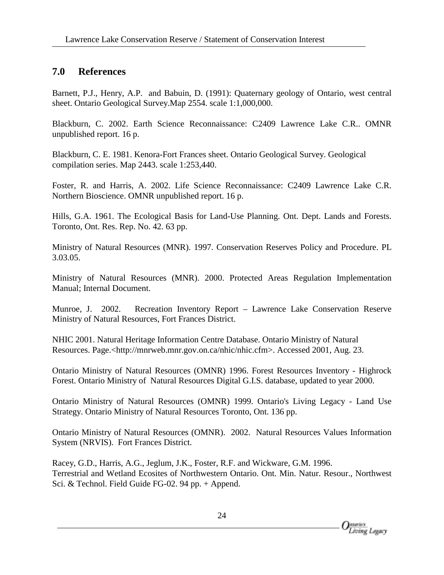# **7.0 References**

Barnett, P.J., Henry, A.P. and Babuin, D. (1991): Quaternary geology of Ontario, west central sheet. Ontario Geological Survey.Map 2554. scale 1:1,000,000.

Blackburn, C. 2002. Earth Science Reconnaissance: C2409 Lawrence Lake C.R.. OMNR unpublished report. 16 p.

Blackburn, C. E. 1981. Kenora-Fort Frances sheet. Ontario Geological Survey. Geological compilation series. Map 2443. scale 1:253,440.

Foster, R. and Harris, A. 2002. Life Science Reconnaissance: C2409 Lawrence Lake C.R. Northern Bioscience. OMNR unpublished report. 16 p.

Hills, G.A. 1961. The Ecological Basis for Land-Use Planning. Ont. Dept. Lands and Forests. Toronto, Ont. Res. Rep. No. 42. 63 pp.

Ministry of Natural Resources (MNR). 1997. Conservation Reserves Policy and Procedure. PL 3.03.05.

Ministry of Natural Resources (MNR). 2000. Protected Areas Regulation Implementation Manual; Internal Document.

Munroe, J. 2002. Recreation Inventory Report – Lawrence Lake Conservation Reserve Ministry of Natural Resources, Fort Frances District.

NHIC 2001. Natural Heritage Information Centre Database. Ontario Ministry of Natural Resources. Page.<http://mnrweb.mnr.gov.on.ca/nhic/nhic.cfm>. Accessed 2001, Aug. 23.

Ontario Ministry of Natural Resources (OMNR) 1996. Forest Resources Inventory - Highrock Forest. Ontario Ministry of Natural Resources Digital G.I.S. database, updated to year 2000.

Ontario Ministry of Natural Resources (OMNR) 1999. Ontario's Living Legacy - Land Use Strategy. Ontario Ministry of Natural Resources Toronto, Ont. 136 pp.

Ontario Ministry of Natural Resources (OMNR). 2002. Natural Resources Values Information System (NRVIS). Fort Frances District.

Racey, G.D., Harris, A.G., Jeglum, J.K., Foster, R.F. and Wickware, G.M. 1996. Terrestrial and Wetland Ecosites of Northwestern Ontario. Ont. Min. Natur. Resour., Northwest Sci. & Technol. Field Guide FG-02. 94 pp. + Append.

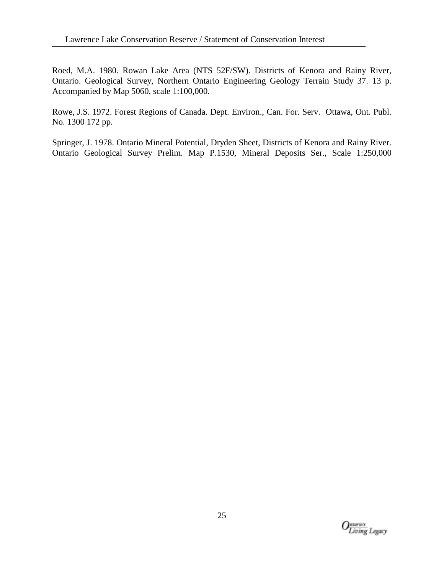Roed, M.A. 1980. Rowan Lake Area (NTS 52F/SW). Districts of Kenora and Rainy River, Ontario. Geological Survey, Northern Ontario Engineering Geology Terrain Study 37. 13 p. Accompanied by Map 5060, scale 1:100,000.

Rowe, J.S. 1972. Forest Regions of Canada. Dept. Environ., Can. For. Serv. Ottawa, Ont. Publ. No. 1300 172 pp.

Springer, J. 1978. Ontario Mineral Potential, Dryden Sheet, Districts of Kenora and Rainy River. Ontario Geological Survey Prelim. Map P.1530, Mineral Deposits Ser., Scale 1:250,000